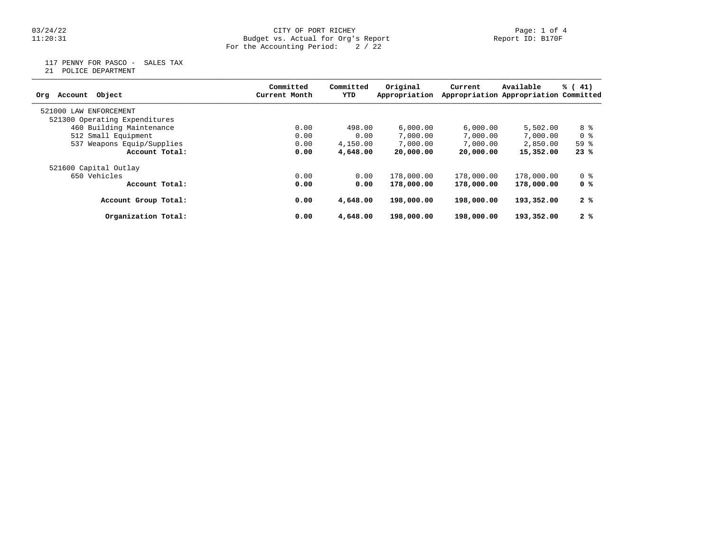## 03/24/22 CITY OF PORT RICHEY Page: 1 of 4 11:20:31 Budget vs. Actual for Org's Report Report ID: B170F For the Accounting Period: 2 / 22

117 PENNY FOR PASCO - SALES TAX

21 POLICE DEPARTMENT

|                               | Committed<br>Current Month | Committed | Original      | Current    | Available                             | % (41) |
|-------------------------------|----------------------------|-----------|---------------|------------|---------------------------------------|--------|
| Object<br>Account<br>Org      |                            | YTD       | Appropriation |            | Appropriation Appropriation Committed |        |
| 521000 LAW<br>ENFORCEMENT     |                            |           |               |            |                                       |        |
| 521300 Operating Expenditures |                            |           |               |            |                                       |        |
| 460 Building Maintenance      | 0.00                       | 498.00    | 6,000.00      | 6,000.00   | 5,502.00                              | 8 %    |
| 512 Small Equipment           | 0.00                       | 0.00      | 7,000.00      | 7,000.00   | 7,000.00                              | 0 %    |
| 537 Weapons Equip/Supplies    | 0.00                       | 4,150.00  | 7,000.00      | 7,000.00   | 2,850.00                              | 59%    |
| Account Total:                | 0.00                       | 4,648.00  | 20,000.00     | 20,000.00  | 15,352.00                             | 23%    |
| 521600 Capital Outlay         |                            |           |               |            |                                       |        |
| 650 Vehicles                  | 0.00                       | 0.00      | 178,000.00    | 178,000.00 | 178,000.00                            | 0 %    |
| Account Total:                | 0.00                       | 0.00      | 178,000.00    | 178,000.00 | 178,000.00                            | 0 %    |
| Account Group Total:          | 0.00                       | 4,648.00  | 198,000.00    | 198,000.00 | 193,352.00                            | 2%     |
| Organization Total:           | 0.00                       | 4,648.00  | 198,000.00    | 198,000.00 | 193,352.00                            | 2%     |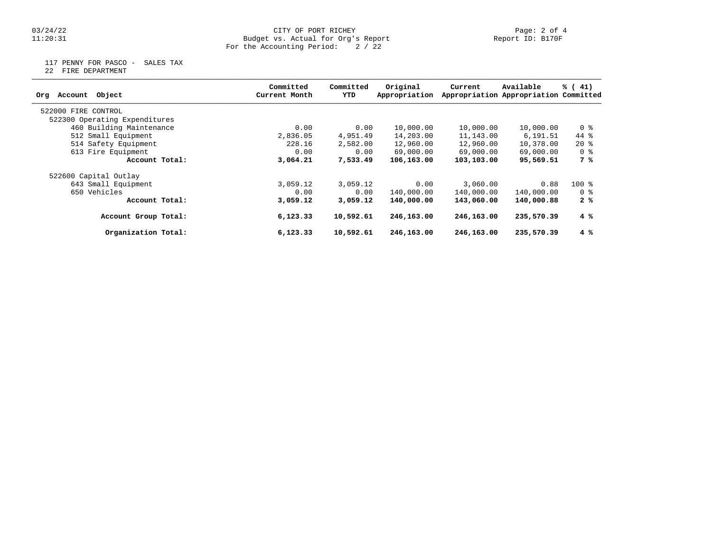## 03/24/22 CITY OF PORT RICHEY Page: 2 of 4 11:20:31 Budget vs. Actual for Org's Report Report ID: B170F For the Accounting Period: 2 / 22

117 PENNY FOR PASCO - SALES TAX

22 FIRE DEPARTMENT

| Object<br>Account<br>Org      | Committed<br>Current Month | Committed<br>YTD | Original<br>Appropriation | Current    | Available<br>Appropriation Appropriation Committed | $\frac{1}{6}$ ( 41) |
|-------------------------------|----------------------------|------------------|---------------------------|------------|----------------------------------------------------|---------------------|
| 522000 FIRE CONTROL           |                            |                  |                           |            |                                                    |                     |
| 522300 Operating Expenditures |                            |                  |                           |            |                                                    |                     |
| 460 Building Maintenance      | 0.00                       | 0.00             | 10,000.00                 | 10,000.00  | 10,000.00                                          | 0 %                 |
| 512 Small Equipment           | 2,836.05                   | 4,951.49         | 14,203.00                 | 11,143.00  | 6,191.51                                           | 44 %                |
| 514 Safety Equipment          | 228.16                     | 2,582.00         | 12,960.00                 | 12,960.00  | 10,378.00                                          | $20*$               |
| 613 Fire Equipment            | 0.00                       | 0.00             | 69,000.00                 | 69,000.00  | 69,000.00                                          | 0 <sup>8</sup>      |
| Account Total:                | 3,064.21                   | 7,533.49         | 106,163.00                | 103,103.00 | 95,569.51                                          | 7 %                 |
| 522600 Capital Outlay         |                            |                  |                           |            |                                                    |                     |
| 643 Small Equipment           | 3,059.12                   | 3,059.12         | 0.00                      | 3,060.00   | 0.88                                               | $100*$              |
| 650 Vehicles                  | 0.00                       | 0.00             | 140,000.00                | 140,000.00 | 140,000.00                                         | 0 %                 |
| Account Total:                | 3,059.12                   | 3,059.12         | 140,000.00                | 143,060.00 | 140,000.88                                         | 2%                  |
| Account Group Total:          | 6,123.33                   | 10,592.61        | 246,163.00                | 246,163.00 | 235,570.39                                         | 4%                  |
| Organization Total:           | 6,123.33                   | 10,592.61        | 246,163.00                | 246,163.00 | 235,570.39                                         | 4%                  |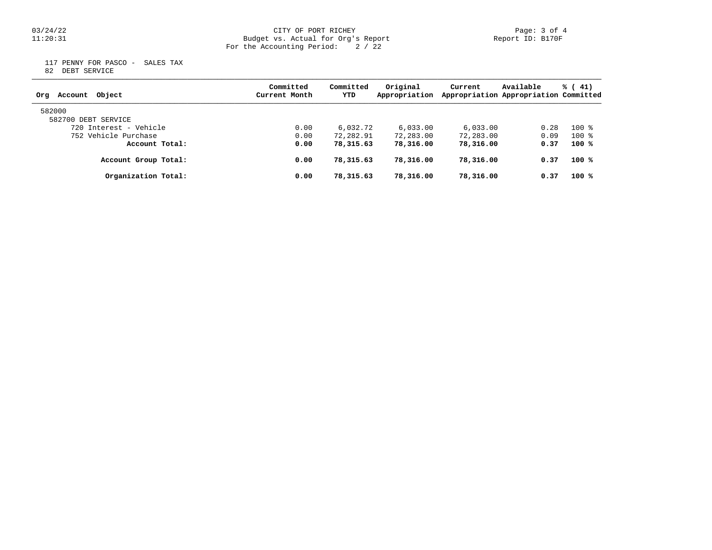## 03/24/22 CITY OF PORT RICHEY Page: 3 of 4 11:20:31 Budget vs. Actual for Org's Report Report ID: B170F For the Accounting Period: 2 / 22

 117 PENNY FOR PASCO - SALES TAX 82 DEBT SERVICE

| Object<br>Account<br>Org | Committed<br>Current Month | Committed<br>YTD | Original<br>Appropriation | Current   | Available<br>Appropriation Appropriation Committed | % (41) |
|--------------------------|----------------------------|------------------|---------------------------|-----------|----------------------------------------------------|--------|
| 582000                   |                            |                  |                           |           |                                                    |        |
| 582700 DEBT SERVICE      |                            |                  |                           |           |                                                    |        |
| 720 Interest - Vehicle   | 0.00                       | 6,032.72         | 6.033.00                  | 6.033.00  | 0.28                                               | $100*$ |
| 752 Vehicle Purchase     | 0.00                       | 72,282.91        | 72,283.00                 | 72,283.00 | 0.09                                               | $100*$ |
| Account Total:           | 0.00                       | 78,315.63        | 78,316.00                 | 78,316.00 | 0.37                                               | $100*$ |
| Account Group Total:     | 0.00                       | 78,315.63        | 78,316.00                 | 78,316.00 | 0.37                                               | $100*$ |
| Organization Total:      | 0.00                       | 78,315.63        | 78,316.00                 | 78,316.00 | 0.37                                               | $100*$ |